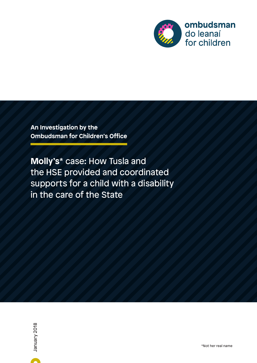

**An Investigation by the Ombudsman for Children's Office**

**Molly's**\* case: How Tusla and the HSE provided and coordinated supports for a child with a disability in the care of the State

A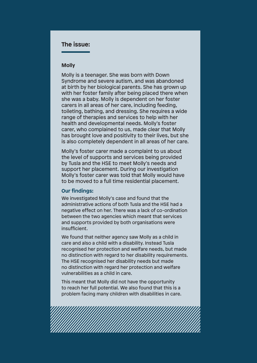### **The issue:**

#### **Molly**

Molly is a teenager. She was born with Down Syndrome and severe autism, and was abandoned at birth by her biological parents. She has grown up with her foster family after being placed there when she was a baby. Molly is dependent on her foster carers in all areas of her care, including feeding, toileting, bathing, and dressing. She requires a wide range of therapies and services to help with her health and developmental needs. Molly's foster carer, who complained to us, made clear that Molly has brought love and positivity to their lives, but she is also completely dependent in all areas of her care.

Molly's foster carer made a complaint to us about the level of supports and services being provided by Tusla and the HSE to meet Molly's needs and support her placement. During our investigation Molly's foster carer was told that Molly would have to be moved to a full time residential placement.

#### **Our findings:**

We investigated Molly's case and found that the administrative actions of both Tusla and the HSE had a negative effect on her. There was a lack of co-ordination between the two agencies which meant that services and supports provided by both organisations were insufficient.

We found that neither agency saw Molly as a child in care and also a child with a disability. Instead Tusla recognised her protection and welfare needs, but made no distinction with regard to her disability requirements. The HSE recognised her disability needs but made no distinction with regard her protection and welfare vulnerabilities as a child in care.

This meant that Molly did not have the opportunity to reach her full potential. We also found that this is a problem facing many children with disabilities in care.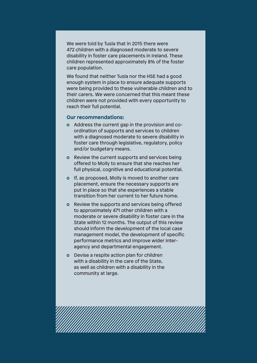We were told by Tusla that in 2015 there were 472 children with a diagnosed moderate to severe disability in foster care placements in Ireland. These children represented approximately 8% of the foster care population.

We found that neither Tusla nor the HSE had a good enough system in place to ensure adequate supports were being provided to these vulnerable children and to their carers. We were concerned that this meant these children were not provided with every opportunity to reach their full potential.

#### **Our recommendations:**

- **o** Address the current gap in the provision and coordination of supports and services to children with a diagnosed moderate to severe disability in foster care through legislative, regulatory, policy and/or budgetary means.
- **o** Review the current supports and services being offered to Molly to ensure that she reaches her full physical, cognitive and educational potential.
- **o** If, as proposed, Molly is moved to another care placement, ensure the necessary supports are put in place so that she experiences a stable transition from her current to her future home.
- **o** Review the supports and services being offered to approximately 471 other children with a moderate or severe disability in foster care in the State within 12 months. The output of this review should inform the development of the local case management model, the development of specific performance metrics and improve wider interagency and departmental engagement.
- **o** Devise a respite action plan for children with a disability in the care of the State, as well as children with a disability in the community at large.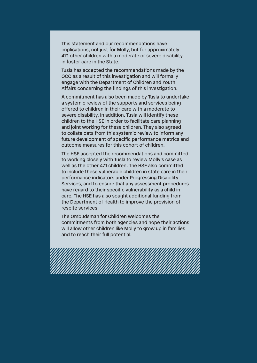This statement and our recommendations have implications, not just for Molly, but for approximately 471 other children with a moderate or severe disability in foster care in the State.

Tusla has accepted the recommendations made by the OCO as a result of this investigation and will formally engage with the Department of Children and Youth Affairs concerning the findings of this investigation.

A commitment has also been made by Tusla to undertake a systemic review of the supports and services being offered to children in their care with a moderate to severe disability. In addition, Tusla will identify these children to the HSE in order to facilitate care planning and joint working for these children. They also agreed to collate data from this systemic review to inform any future development of specific performance metrics and outcome measures for this cohort of children.

The HSE accepted the recommendations and committed to working closely with Tusla to review Molly's case as well as the other 471 children. The HSE also committed to include these vulnerable children in state care in their performance indicators under Progressing Disability Services, and to ensure that any assessment procedures have regard to their specific vulnerability as a child in care. The HSE has also sought additional funding from the Department of Health to improve the provision of respite services.

The Ombudsman for Children welcomes the commitments from both agencies and hope their actions will allow other children like Molly to grow up in families and to reach their full potential.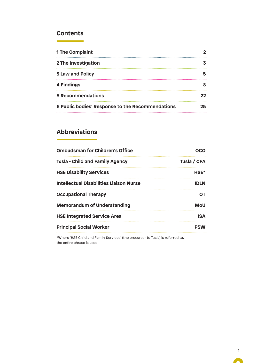### **Contents**

| <b>1 The Complaint</b>                           |    |
|--------------------------------------------------|----|
| 2 The Investigation                              |    |
| <b>3 Law and Policy</b>                          |    |
| 4 Findings                                       |    |
| <b>5 Recommendations</b>                         | 22 |
| 6 Public bodies' Response to the Recommendations | 25 |

# **Abbreviations**

| <b>Ombudsman for Children's Office</b>         | OCO         |
|------------------------------------------------|-------------|
| <b>Tusla - Child and Family Agency</b>         | Tusla / CFA |
| <b>HSE Disability Services</b>                 | HSE*        |
| <b>Intellectual Disabilities Liaison Nurse</b> | <b>IDLN</b> |
| <b>Occupational Therapy</b>                    | ΟT          |
| <b>Memorandum of Understanding</b>             | <b>MoU</b>  |
| <b>HSE Integrated Service Area</b>             | <b>ISA</b>  |
| <b>Principal Social Worker</b>                 | <b>PSW</b>  |
|                                                |             |

\*Where 'HSE Child and Family Services' (the precursor to Tusla) is referred to, the entire phrase is used.

A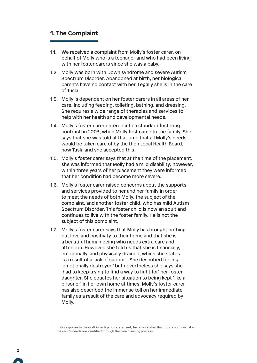### **1. The Complaint**

- 1.1. We received a complaint from Molly's foster carer, on behalf of Molly who is a teenager and who had been living with her foster carers since she was a baby.
- 1.2. Molly was born with Down syndrome and severe Autism Spectrum Disorder. Abandoned at birth, her biological parents have no contact with her. Legally she is in the care of Tusla.
- 1.3. Molly is dependent on her foster carers in all areas of her care, including feeding, toileting, bathing, and dressing. She requires a wide range of therapies and services to help with her health and developmental needs.
- 1.4. Molly's foster carer entered into a standard fostering contract<sup>1</sup> in 2003, when Molly first came to the family. She says that she was told at that time that all Molly's needs would be taken care of by the then Local Health Board, now Tusla and she accepted this.
- 1.5. Molly's foster carer says that at the time of the placement, she was informed that Molly had a mild disability; however, within three years of her placement they were informed that her condition had become more severe.
- 1.6. Molly's foster carer raised concerns about the supports and services provided to her and her family in order to meet the needs of both Molly, the subject of the complaint, and another foster child, who has mild Autism Spectrum Disorder. This foster child is now an adult and continues to live with the foster family. He is not the subject of this complaint.
- 1.7. Molly's foster carer says that Molly has brought nothing but love and positivity to their home and that she is a beautiful human being who needs extra care and attention. However, she told us that she is financially, emotionally, and physically drained, which she states is a result of a lack of support. She described feeling 'emotionally destroyed' but nevertheless she says she 'had to keep trying to find a way to fight for' her foster daughter. She equates her situation to being kept 'like a prisoner' in her own home at times. Molly's foster carer has also described the immense toll on her immediate family as a result of the care and advocacy required by Molly.

<sup>1</sup> In its response to the draft investigation statement, Tusla has stated that 'this is not unusual as the child's needs are identified through the care planning process'.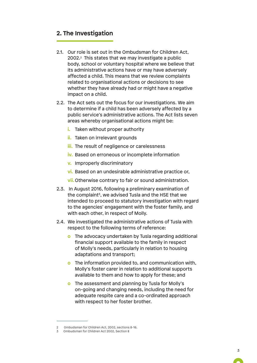### **2. The Investigation**

- 2.1. Our role is set out in the Ombudsman for Children Act, 2002.2 This states that we may investigate a public body, school or voluntary hospital where we believe that its administrative actions have or may have adversely affected a child. This means that we review complaints related to organisational actions or decisions to see whether they have already had or might have a negative impact on a child.
- 2.2. The Act sets out the focus for our investigations. We aim to determine if a child has been adversely affected by a public service's administrative actions. The Act lists seven areas whereby organisational actions might be:
	- *i.* Taken without proper authority
	- **ii.** Taken on irrelevant grounds
	- **iii.** The result of negligence or carelessness
	- **iv.** Based on erroneous or incomplete information
	- **v.** Improperly discriminatory
	- **vi.** Based on an undesirable administrative practice or,
	- **vii.** Otherwise contrary to fair or sound administration.
- 2.3. In August 2016, following a preliminary examination of the complaint<sup>3</sup>, we advised Tusla and the HSE that we intended to proceed to statutory investigation with regard to the agencies' engagement with the foster family, and with each other, in respect of Molly.
- 2.4. We investigated the administrative actions of Tusla with respect to the following terms of reference:
	- **o** The advocacy undertaken by Tusla regarding additional financial support available to the family in respect of Molly's needs, particularly in relation to housing adaptations and transport;
	- **o** The information provided to, and communication with, Molly's foster carer in relation to additional supports available to them and how to apply for these; and
	- **o** The assessment and planning by Tusla for Molly's on-going and changing needs, including the need for adequate respite care and a co-ordinated approach with respect to her foster brother.

<sup>2</sup> Ombudsman for Children Act, 2002, sections 8-16.

<sup>3</sup> Ombudsman for Children Act 2002, Section 8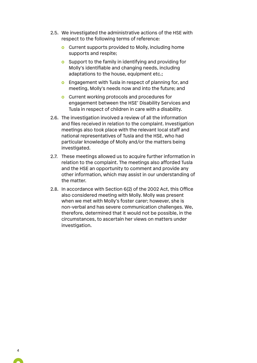- 2.5. We investigated the administrative actions of the HSE with respect to the following terms of reference:
	- **o** Current supports provided to Molly, including home supports and respite;
	- **o** Support to the family in identifying and providing for Molly's identifiable and changing needs, including adaptations to the house, equipment etc.;
	- **o** Engagement with Tusla in respect of planning for, and meeting, Molly's needs now and into the future; and
	- **o** Current working protocols and procedures for engagement between the HSE' Disability Services and Tusla in respect of children in care with a disability.
- 2.6. The investigation involved a review of all the information and files received in relation to the complaint. Investigation meetings also took place with the relevant local staff and national representatives of Tusla and the HSE, who had particular knowledge of Molly and/or the matters being investigated.
- 2.7. These meetings allowed us to acquire further information in relation to the complaint. The meetings also afforded Tusla and the HSE an opportunity to comment and provide any other information, which may assist in our understanding of the matter.
- 2.8. In accordance with Section 6(2) of the 2002 Act, this Office also considered meeting with Molly. Molly was present when we met with Molly's foster carer; however, she is non-verbal and has severe communication challenges. We, therefore, determined that it would not be possible, in the circumstances, to ascertain her views on matters under investigation.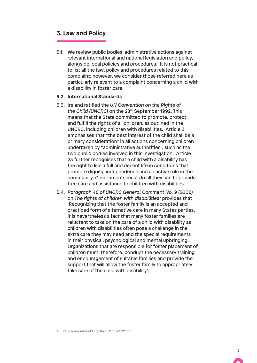### **3. Law and Policy**

3.1. We review public bodies' administrative actions against relevant international and national legislation and policy, alongside local policies and procedures. It is not practical to list all the law, policy and procedures related to this complaint; however, we consider those referred here as particularly relevant to a complaint concerning a child with a disability in foster care.

#### **3.2. International Standards**

- 3.3. Ireland ratified the *UN Convention on the Rights of the Child (UNCRC)* on the 28th September 1992. This means that the State committed to promote, protect and fulfill the rights of all children, as outlined in the UNCRC, including children with disabilities. Article 3 emphasises that "the best interest of the child shall be a primary consideration" in all actions concerning children undertaken by "administrative authorities", such as the two public bodies involved in this investigation. Article 23 further recognises that a child with a disability has the right to live a full and decent life in conditions that promote dignity, independence and an active role in the community. Governments must do all they can to provide free care and assistance to children with disabilities.
- 3.4. *Paragraph 46 of UNCRC General Comment No. 9 (2006)*  on *The rights of children with disabilities4* provides that 'Recognizing that the foster family is an accepted and practiced form of alternative care in many States parties, it is nevertheless a fact that many foster families are reluctant to take on the care of a child with disability as children with disabilities often pose a challenge in the extra care they may need and the special requirements in their physical, psychological and mental upbringing. Organizations that are responsible for foster placement of children must, therefore, conduct the necessary training and encouragement of suitable families and provide the support that will allow the foster family to appropriately take care of the child with disability'.

<sup>4</sup> http://www.refworld.org/docid/461b93f72.html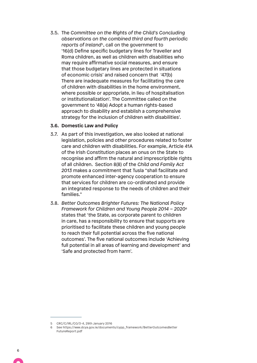3.5. The *Committee on the Rights of the Child's Concluding observations on the combined third and fourth periodic reports of Ireland*5, call on the government to '16(d) Define specific budgetary lines for Traveller and Roma children, as well as children with disabilities who may require affirmative social measures, and ensure that those budgetary lines are protected in situations of economic crisis' and raised concern that '47(b) There are inadequate measures for facilitating the care of children with disabilities in the home environment, where possible or appropriate, in lieu of hospitalisation or institutionalization'. The Committee called on the government to '48(a) Adopt a human rights-based approach to disability and establish a comprehensive strategy for the inclusion of children with disabilities'.

#### **3.6. Domestic Law and Policy**

- 3.7. As part of this investigation, we also looked at national legislation, policies and other procedures related to foster care and children with disabilities. For example, Article 41A of the Irish Constitution places an onus on the State to recognise and affirm the natural and imprescriptible rights of all children. Section 8(8) of the *Child and Family Act 2013* makes a commitment that Tusla "shall facilitate and promote enhanced inter-agency cooperation to ensure that services for children are co-ordinated and provide an integrated response to the needs of children and their families."
- 3.8. *Better Outcomes Brighter Futures: The National Policy Framework for Children and Young People 2014 – 20206* states that 'the State, as corporate parent to children in care, has a responsibility to ensure that supports are prioritised to facilitate these children and young people to reach their full potential across the five national outcomes'. The five national outcomes include 'Achieving full potential in all areas of learning and development' and 'Safe and protected from harm'.

<sup>5</sup> CRC/C/IRL/CO/3-4, 29th January 2016

<sup>6</sup> See https://www.dcya.gov.ie/documents/cypp\_framework/BetterOutcomesBetter FutureReport.pdf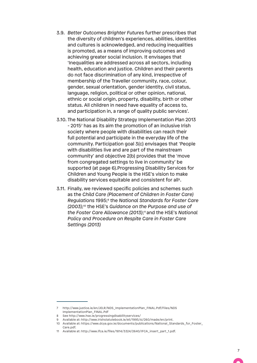- 3.9. *Better Outcomes Brighter Futures* further prescribes that the diversity of children's experiences, abilities, identities and cultures is acknowledged, and reducing inequalities is promoted, as a means of improving outcomes and achieving greater social inclusion. It envisages that 'Inequalities are addressed across all sectors, including health, education and justice. Children and their parents do not face discrimination of any kind, irrespective of membership of the Traveller community, race, colour, gender, sexual orientation, gender identity, civil status, language, religion, political or other opinion, national, ethnic or social origin, property, disability, birth or other status. All children in need have equality of access to, and participation in, a range of quality public services'.
- 3.10. The National Disability Strategy Implementation Plan 2013 - 20157 has as its aim the promotion of an inclusive Irish society where people with disabilities can reach their full potential and participate in the everyday life of the community. Participation goal 3(c) envisages that 'People with disabilities live and are part of the mainstream community' and objective 2(b) provides that the 'move from congregated settings to live in community' be supported (at page 6).Progressing Disability Services for Children and Young People is the HSE's vision to make disability services equitable and consistent for all<sup>8</sup>.
- 3.11. Finally, we reviewed specific policies and schemes such as the *Child Care (Placement of Children in Foster Care) Regulations 1995*; <sup>9</sup> the *National Standards for Foster Care (2003);10* the HSE's *Guidance on the Purpose and use of the Foster Care Allowance (2013)*; 11and the HSE's *National Policy and Procedure on Respite Care in Foster Care Settings (2013)*

<sup>7</sup> http://www.justice.ie/en/JELR/NDS\_ImplementationPlan\_FINAL.Pdf/Files/NDS ImplementationPlan\_FINAL.Pdf

<sup>8</sup> See http://www.hse.ie/progressingdisabilityservices/

<sup>9</sup> Available at: http://www.irishstatutebook.ie/eli/1995/si/260/made/en/print.

<sup>10</sup> Available at: https://www.dcya.gov.ie/documents/publications/National\_Standards\_for\_Foster\_ Care.pdf.

<sup>11</sup> Available at: http://www.ifca.ie/files/1814/3324/2640/IFCA\_insert\_part\_1.pdf.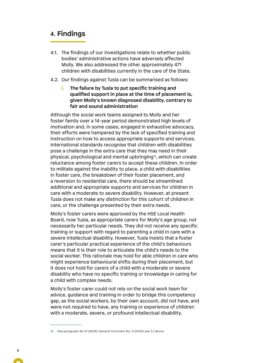# **4. Findings**

- 4.1. The findings of our investigations relate to whether public bodies' administrative actions have adversely affected Molly. We also addressed the other approximately 471 children with disabilities currently in the care of the State.
- 4.2. Our findings against Tusla can be summarised as follows:
	- **i. The failure by Tusla to put specific training and qualified support in place at the time of placement is, given Molly's known diagnosed disability, contrary to fair and sound administration**

Although the social work teams assigned to Molly and her foster family over a 14-year period demonstrated high levels of motivation and, in some cases, engaged in exhaustive advocacy, their efforts were hampered by the lack of specified training and instruction on how to access appropriate supports and services. International standards recognise that children with disabilities pose a challenge in the extra care that they may need in their physical, psychological and mental upbringing12, which can create reluctance among foster carers to accept these children. In order to militate against the inability to place, a child with disabilities in foster care, the breakdown of their foster placement, and a reversion to residential care, there should be streamlined additional and appropriate supports and services for children in care with a moderate to severe disability. However, at present Tusla does not make any distinction for this cohort of children in care, or the challenge presented by their extra needs.

Molly's foster carers were approved by the HSE Local Health Board, now Tusla, as appropriate carers for Molly's age group, not necessarily her particular needs. They did not receive any specific training or support with regard to parenting a child in care with a severe intellectual disability. However, Tusla insists that a foster carer's particular practical experience of the child's behaviours means that it is their role to articulate the child's needs to the social worker. This rationale may hold for able children in care who might experience behavioural shifts during their placement, but it does not hold for carers of a child with a moderate or severe disability who have no specific training or knowledge in caring for a child with complex needs.

Molly's foster carer could not rely on the social work team for advice, guidance and training in order to bridge this competency gap, as the social workers, by their own account, did not have, and were not required to have, any training or experience of children with a moderate, severe, or profound intellectual disability.

<sup>12</sup> See paragraph 46 of UNCRC General Comment No. 9 (2006) see 3.1 above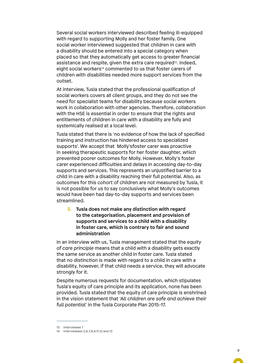Several social workers interviewed described feeling ill-equipped with regard to supporting Molly and her foster family. One social worker interviewed suggested that children in care with a disability should be entered into a special category when placed so that they automatically get access to greater financial assistance and respite, given the extra care required<sup>13</sup>. Indeed, eight social workers<sup>14</sup> commented to us that foster carers of children with disabilities needed more support services from the outset.

At interview, Tusla stated that the professional qualification of social workers covers all client groups, and they do not see the need for specialist teams for disability because social workers work in collaboration with other agencies. Therefore, collaboration with the HSE is essential in order to ensure that the rights and entitlements of children in care with a disability are fully and systemically realised at a local level.

Tusla stated that there is 'no evidence of how the lack of specified training and instruction has hindered access to specialized supports'. We accept that Molly'sfoster carer was proactive in seeking therapeutic supports for her foster daughter, which prevented poorer outcomes for Molly. However, Molly's foster carer experienced difficulties and delays in accessing day-to-day supports and services. This represents an unjustified barrier to a child in care with a disability reaching their full potential. Also, as outcomes for this cohort of children are not measured by Tusla, it is not possible for us to say conclusively what Molly's outcomes would have been had day-to-day supports and services been streamlined.

**ii. Tusla does not make any distinction with regard to the categorisation, placement and provision of supports and services to a child with a disability in foster care, which is contrary to fair and sound administration**

In an interview with us, Tusla management stated that the *equity of care principle* means that a child with a disability gets exactly the same service as another child in foster care. Tusla stated that no distinction is made with regard to a child in care with a disability, however, if that child needs a service, they will advocate strongly for it.

Despite numerous requests for documentation, which stipulates Tusla's equity of care principle and its application, none has been provided. Tusla stated that the equity of care principle is enshrined in the vision statement that '*All children are safe and achieve their full potential*' in the Tusla Corporate Plan 2015-17.

<sup>13</sup> Interviewee 7

<sup>14</sup> Interviewees 5,6,7,8,9,11,12 and 13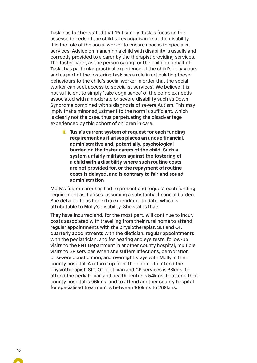Tusla has further stated that 'Put simply, Tusla's focus on the assessed needs of the child takes cognisance of the disability. It is the role of the social worker to ensure access to specialist services. Advice on managing a child with disability is usually and correctly provided to a carer by the therapist providing services. The foster carer, as the person caring for the child on behalf of Tusla, has particular practical experience of the child's behaviours and as part of the fostering task has a role in articulating these behaviours to the child's social worker in order that the social worker can seek access to specialist services'. We believe it is not sufficient to simply 'take cognisance' of the complex needs associated with a moderate or severe disability such as Down Syndrome combined with a diagnosis of severe Autism. This may imply that a minor adjustment to the norm is sufficient, which is clearly not the case, thus perpetuating the disadvantage experienced by this cohort of children in care.

**iii. Tusla's current system of request for each funding requirement as it arises places an undue financial, administrative and, potentially, psychological burden on the foster carers of the child. Such a system unfairly militates against the fostering of a child with a disability where such routine costs are not provided for, or the repayment of routine costs is delayed, and is contrary to fair and sound administration** 

Molly's foster carer has had to present and request each funding requirement as it arises, assuming a substantial financial burden. She detailed to us her extra expenditure to date, which is attributable to Molly's disability. She states that:

They have incurred and, for the most part, will continue to incur, costs associated with travelling from their rural home to attend regular appointments with the physiotherapist, SLT and OT; quarterly appointments with the dietician; regular appointments with the pediatrician, and for hearing and eye tests; follow-up visits to the ENT Department in another county hospital; multiple visits to GP services when she suffers infections, dehydration or severe constipation; and overnight stays with Molly in their county hospital. A return trip from their home to attend the physiotherapist, SLT, OT, dietician and GP services is 38kms, to attend the pediatrician and health centre is 54kms, to attend their county hospital is 96kms, and to attend another county hospital for specialised treatment is between 160kms to 208kms.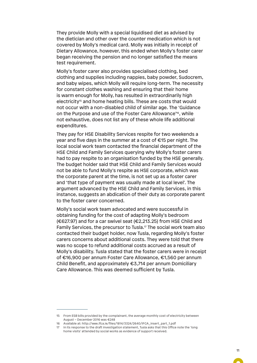They provide Molly with a special liquidised diet as advised by the dietician and other over the counter medication which is not covered by Molly's medical card. Molly was initially in receipt of Dietary Allowance, however, this ended when Molly's foster carer began receiving the pension and no longer satisfied the means test requirement.

Molly's foster carer also provides specialised clothing, bed clothing and supplies including nappies, baby powder, Sudocrem, and baby wipes, which Molly will require long-term. The necessity for constant clothes washing and ensuring that their home is warm enough for Molly, has resulted in extraordinarily high electricity<sup>15</sup> and home heating bills. These are costs that would not occur with a non-disabled child of similar age. The 'Guidance on the Purpose and use of the Foster Care Allowance'16, while not exhaustive, does not list any of these whole life additional expenditures.

They pay for HSE Disability Services respite for two weekends a year and five days in the summer at a cost of €15 per night. The local social work team contacted the financial department of the HSE Child and Family Services querying why Molly's foster carers had to pay respite to an organisation funded by the HSE generally. The budget holder said that HSE Child and Family Services would not be able to fund Molly's respite as HSE corporate, which was the corporate parent at the time, is not set up as a foster carer and 'that type of payment was usually made at local level'. The argument advanced by the HSE Child and Family Services, in this instance, suggests an abdication of their duty as corporate parent to the foster carer concerned.

Molly's social work team advocated and were successful in obtaining funding for the cost of adapting Molly's bedroom ( $€627.97$ ) and for a car swivel seat ( $€2,213.25$ ) from HSE Child and Family Services, the precursor to Tusla.<sup>17</sup> The social work team also contacted their budget holder, now Tusla, regarding Molly's foster carers concerns about additional costs. They were told that there was no scope to refund additional costs accrued as a result of Molly's disability. Tusla stated that the foster carers were in receipt of €16,900 per annum Foster Care Allowance, €1,560 per annum Child Benefit, and approximately €3,714 per annum Domiciliary Care Allowance. This was deemed sufficient by Tusla.

<sup>15</sup> From ESB bills provided by the complainant, the average monthly cost of electricity between August – December 2016 was €248

<sup>16</sup> Available at: http://www.ifca.ie/files/1814/3324/2640/IFCA\_insert\_part\_1.pdf

<sup>17</sup> In its response to the draft investigation statement, Tusla asks that this Office note the 'long home visits' attended by social works as evidence of support received.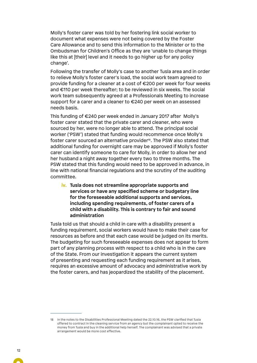Molly's foster carer was told by her fostering link social worker to document what expenses were not being covered by the Foster Care Allowance and to send this information to the Minister or to the Ombudsman for Children's Office as they are 'unable to change things like this at [their] level and it needs to go higher up for any policy change'.

Following the transfer of Molly's case to another Tusla area and in order to relieve Molly's foster carer's load, the social work team agreed to provide funding for a cleaner at a cost of €200 per week for four weeks and €110 per week thereafter; to be reviewed in six weeks. The social work team subsequently agreed at a Professionals Meeting to increase support for a carer and a cleaner to €240 per week on an assessed needs basis.

This funding of €240 per week ended in January 2017 after Molly's foster carer stated that the private carer and cleaner, who were sourced by her, were no longer able to attend. The principal social worker ('PSW') stated that funding would recommence once Molly's foster carer sourced an alternative provider<sup>8</sup>. The PSW also stated that additional funding for overnight care may be approved if Molly's foster carer can identify someone to care for Molly, in order to allow her and her husband a night away together every two to three months. The PSW stated that this funding would need to be approved in advance, in line with national financial regulations and the scrutiny of the auditing committee.

**iv. Tusla does not streamline appropriate supports and services or have any specified scheme or budgetary line for the foreseeable additional supports and services, including spending requirements, of foster carers of a child with a disability. This is contrary to fair and sound administration**

Tusla told us that should a child in care with a disability present a funding requirement, social workers would have to make their case for resources as before and that each case would be judged on its merits. The budgeting for such foreseeable expenses does not appear to form part of any planning process with respect to a child who is in the care of the State. From our investigation it appears the current system of presenting and requesting each funding requirement as it arises, requires an excessive amount of advocacy and administrative work by the foster carers, and has jeopardized the stability of the placement.

<sup>18</sup> In the notes to the Disabilities Professional Meeting dated the 22.10.16, the PSW clarified that Tusla offered to contract in the cleaning service from an agency but the complainant opted to receive the money from Tusla and buy in the additional help herself. The complainant was advised that a private arrangement would be more cost effective.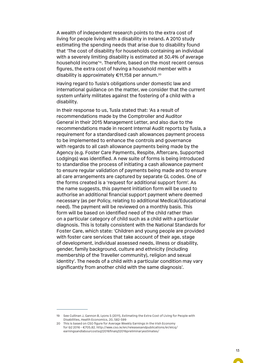A wealth of independent research points to the extra cost of living for people living with a disability in Ireland**.** A 2010 study estimating the spending needs that arise due to disability found that 'The cost of disability for households containing an individual with a severely limiting disability is estimated at 30.4% of average household income<sup>19</sup>. Therefore, based on the most recent census figures, the extra cost of having a household member with a disability is approximately €11,158 per annum.20

Having regard to Tusla's obligations under domestic law and international guidance on the matter, we consider that the current system unfairly militates against the fostering of a child with a disability.

In their response to us, Tusla stated that: 'As a result of recommendations made by the Comptroller and Auditor General in their 2015 Management Letter, and also due to the recommendations made in recent Internal Audit reports by Tusla, a requirement for a standardised cash allowances payment process to be implemented to enhance the controls and governance with regards to all cash allowance payments being made by the Agency (e.g. Foster Care Payments, Respite, Aftercare, Supported Lodgings) was identified. A new suite of forms is being introduced to standardise the process of initiating a cash allowance payment to ensure regular validation of payments being made and to ensure all care arrangements are captured by separate GL codes. One of the forms created is a 'request for additional support form'. As the name suggests, this payment initiation form will be used to authorise an additional financial support payment where deemed necessary (as per Policy, relating to additional Medical/Educational need). The payment will be reviewed on a monthly basis. This form will be based on identified need of the child rather than on a particular category of child such as a child with a particular diagnosis. This is totally consistent with the National Standards for Foster Care, which state: 'Children and young people are provided with foster care services that take account of their age, stage of development, individual assessed needs, illness or disability, gender, family background, culture and ethnicity (including membership of the Traveller community), religion and sexual identity'. The needs of a child with a particular condition may vary significantly from another child with the same diagnosis'.

<sup>19</sup> See Cullinan J, Gannon B, Lyons S (2011), Estimating the Extra Cost of Living for People with Disabilities, Health Economics, 20, 582-599

<sup>20</sup> This is based on CSO figure for Average Weekly Earnings in the Irish Economy for Q2 2016 - €705.82. http://www.cso.ie/en/releasesandpublications/er/elcq/ earningsandlabourcostsq22016finalq32016preliminaryestimates/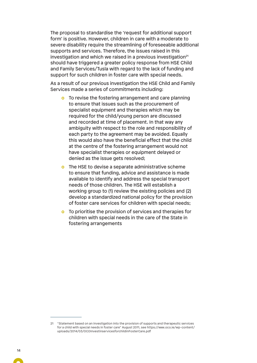The proposal to standardise the 'request for additional support form' is positive. However, children in care with a moderate to severe disability require the streamlining of foreseeable additional supports and services. Therefore, the issues raised in this investigation and which we raised in a previous investigation<sup>21</sup> should have triggered a greater policy response from HSE Child and Family Services/Tusla with regard to the lack of funding and support for such children in foster care with special needs.

As a result of our previous investigation the HSE Child and Family Services made a series of commitments including:

- **o** To revise the fostering arrangement and care planning to ensure that issues such as the procurement of specialist equipment and therapies which may be required for the child/young person are discussed and recorded at time of placement. In that way any ambiguity with respect to the role and responsibility of each party to the agreement may be avoided. Equally this would also have the beneficial effect that the child at the centre of the fostering arrangement would not have specialist therapies or equipment delayed or denied as the issue gets resolved;
- **o** The HSE to devise a separate administrative scheme to ensure that funding, advice and assistance is made available to identify and address the special transport needs of those children. The HSE will establish a working group to (1) review the existing policies and (2) develop a standardized national policy for the provision of foster care services for children with special needs;
- **o** To prioritise the provision of services and therapies for children with special needs in the care of the State in fostering arrangements

<sup>21</sup> "Statement based on an investigation into the provision of supports and therapeutic services for a child with special needs in foster care" August 2011, see https://www.oco.ie/wp-content/ uploads/2014/03/OCOInvestinservicesforchildinFosterCare.pdf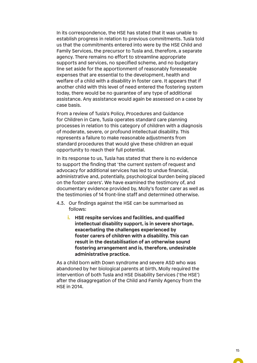In its correspondence, the HSE has stated that it was unable to establish progress in relation to previous commitments. Tusla told us that the commitments entered into were by the HSE Child and Family Services, the precursor to Tusla and, therefore, a separate agency. There remains no effort to streamline appropriate supports and services, no specified scheme, and no budgetary line set aside for the apportionment of reasonably foreseeable expenses that are essential to the development, health and welfare of a child with a disability in foster care. It appears that if another child with this level of need entered the fostering system today, there would be no guarantee of any type of additional assistance. Any assistance would again be assessed on a case by case basis.

From a review of Tusla's Policy, Procedures and Guidance for Children in Care, Tusla operates standard care planning processes in relation to this category of children with a diagnosis of moderate, severe, or profound intellectual disability. This represents a failure to make reasonable adjustments from standard procedures that would give these children an equal opportunity to reach their full potential.

In its response to us, Tusla has stated that there is no evidence to support the finding that 'the current system of request and advocacy for additional services has led to undue financial, administrative and, potentially, psychological burden being placed on the foster carers'. We have examined the testimony of, and documentary evidence provided by, Molly's foster carer as well as the testimonies of 14 front-line staff and determined otherwise.

- 4.3. Our findings against the HSE can be summarised as follows:
	- **i. HSE respite services and facilities, and qualified intellectual disability support, is in severe shortage, exacerbating the challenges experienced by foster carers of children with a disability. This can result in the destabilisation of an otherwise sound fostering arrangement and is, therefore, undesirable administrative practice.**

As a child born with Down syndrome and severe ASD who was abandoned by her biological parents at birth, Molly required the intervention of both Tusla and HSE Disability Services ('the HSE') after the disaggregation of the Child and Family Agency from the HSE in 2014.

 $\sim$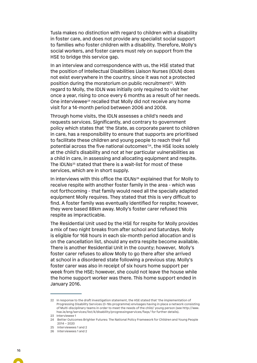Tusla makes no distinction with regard to children with a disability in foster care, and does not provide any specialist social support to families who foster children with a disability. Therefore, Molly's social workers, and foster carers must rely on support from the HSE to bridge this service gap.

In an interview and correspondence with us, the HSE stated that the position of Intellectual Disabilities Liaison Nurses (IDLN) does not exist everywhere in the country, since it was not a protected position during the moratorium on public recruitment<sup>22</sup>. With regard to Molly, the IDLN was initially only required to visit her once a year, rising to once every 6 months as a result of her needs. One interviewee23 recalled that Molly did not receive any home visit for a 14-month period between 2006 and 2008.

Through home visits, the IDLN assesses a child's needs and requests services. Significantly, and contrary to government policy which states that 'the State, as corporate parent to children in care, has a responsibility to ensure that supports are prioritised to facilitate these children and young people to reach their full potential across the five national outcomes'<sup>24</sup>, the HSE looks solely at the child's disability and not at her particular vulnerabilities as a child in care, in assessing and allocating equipment and respite. The IDLNs<sup>25</sup> stated that there is a wait-list for most of these services, which are in short supply.

In interviews with this office the IDLNs<sup>26</sup> explained that for Molly to receive respite with another foster family in the area - which was not forthcoming - that family would need all the specially adapted equipment Molly requires. They stated that this is very difficult to find. A foster family was eventually identified for respite; however, they were based 88km away. Molly's foster carer refused this respite as impracticable.

The Residential Unit used by the HSE for respite for Molly provides a mix of two night breaks from after school and Saturdays. Molly is eligible for 168 hours in each six-month period allocation and is on the cancellation list, should any extra respite become available. There is another Residential Unit in the county; however, Molly's foster carer refuses to allow Molly to go there after she arrived at school in a disordered state following a previous stay. Molly's foster carer was also in receipt of six hours home support per week from the HSE; however, she could not leave the house while the home support worker was there. This home support ended in January 2016.

<sup>22</sup> In response to the draft investigation statement, the HSE stated that 'the implementation of Progressing Disability Services (0-18s programme) envisages having in place a network consisting of Multi-disciplinary teams in order to meet the needs of the child/ young person (see http://www. hse.ie/eng/services/list/4/disability/progressingservices/faqs/ for further details).

<sup>23</sup> Interviewee 1

<sup>24</sup> Better Outcomes Brighter Futures: The National Policy Framework for Children and Young People 2014 – 2020

<sup>25</sup> Interviewees 1 and 2

<sup>26</sup> Interviewees 1 and 2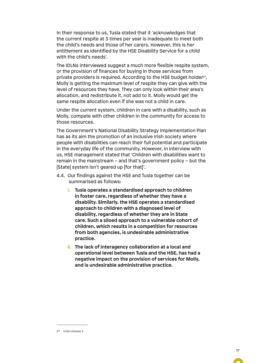In their response to us, Tusla stated that it 'acknowledges that the current respite at 3 times per year is inadequate to meet both the child's needs and those of her carers. However, this is her entitlement as identified by the HSE Disability Service for a child with the child's needs'.

The IDLNs interviewed suggest a much more flexible respite system, or the provision of finances for buying in those services from private providers is required. According to the HSE budget holder<sup>27</sup>, Molly is getting the maximum level of respite they can give with the level of resources they have. They can only look within their area's allocation, and redistribute it, not add to it. Molly would get the same respite allocation even if she was not a child in care.

Under the current system, children in care with a disability, such as Molly, compete with other children in the community for access to those resources.

The Government's National Disability Strategy Implementation Plan has as its aim the promotion of an inclusive Irish society where people with disabilities can reach their full potential and participate in the everyday life of the community. However, in interview with us, HSE management stated that 'Children with disabilities want to remain in the mainstream – and that's government policy – but the [State] system isn't geared up [for that]'.

- 4.4. Our findings against the HSE and Tusla together can be summarised as follows:
	- **i. Tusla operates a standardised approach to children in foster care, regardless of whether they have a disability. Similarly, the HSE operates a standardised approach to children with a diagnosed level of disability, regardless of whether they are in State care. Such a siloed approach to a vulnerable cohort of children, which results in a competition for resources from both agencies, is undesirable administrative practice.**
	- **ii. The lack of interagency collaboration at a local and operational level between Tusla and the HSE, has had a negative impact on the provision of services for Molly, and is undesirable administrative practice.**

 $\blacksquare$ 

<sup>27</sup> Interviewee 3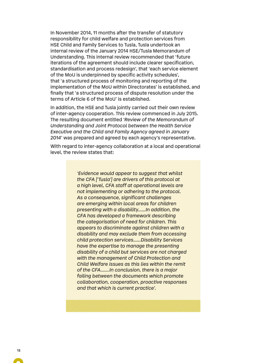In November 2014, 11 months after the transfer of statutory responsibility for child welfare and protection services from HSE Child and Family Services to Tusla, Tusla undertook an internal review of the January 2014 HSE/Tusla Memorandum of Understanding. This internal review recommended that 'future iterations of the agreement should include clearer specification, standardisation and process redesign', that 'each service element of the MoU is underpinned by specific activity schedules', that 'a structured process of monitoring and reporting of the implementation of the MoU within Directorates' is established, and finally that 'a structured process of dispute resolution under the terms of Article 6 of the MoU' is established.

In addition, the HSE and Tusla jointly carried out their own review of inter-agency cooperation. This review commenced in July 2015. The resulting document entitled '*Review of the Memorandum of Understanding and Joint Protocol between the Health Service Executive and the Child and Family Agency agreed in January 2014*' was prepared and agreed by each agency's representative.

With regard to inter-agency collaboration at a local and operational level, the review states that:

> *'Evidence would appear to suggest that whilst the CFA ['Tusla'] are drivers of this protocol at a high level, CFA staff at operational levels are not implementing or adhering to the protocol. As a consequence, significant challenges are emerging within local areas for children presenting with a disability……In addition, the CFA has developed a framework describing the categorisation of need for children. This appears to discriminate against children with a disability and may exclude them from accessing child protection services……Disability Services have the expertise to manage the presenting disability of a child but services are not charged with the management of Child Protection and Child Welfare issues as this lies within the remit of the CFA…….In conclusion, there is a major failing between the documents which promote collaboration, cooperation, proactive responses and that which is current practice'.*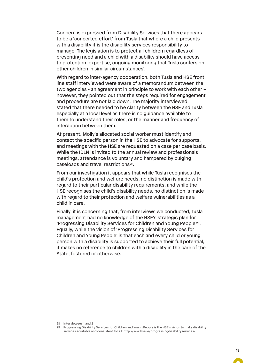Concern is expressed from Disability Services that there appears to be a 'concerted effort' from Tusla that where a child presents with a disability it is the disability services responsibility to manage. The legislation is to protect all children regardless of presenting need and a child with a disability should have access to protection, expertise, ongoing monitoring that Tusla confers on other children in similar circumstances'.

With regard to inter-agency cooperation, both Tusla and HSE front line staff interviewed were aware of a memorandum between the two agencies - an agreement in principle to work with each other – however, they pointed out that the steps required for engagement and procedure are not laid down. The majority interviewed stated that there needed to be clarity between the HSE and Tusla especially at a local level as there is no guidance available to them to understand their roles, or the manner and frequency of interaction between them.

At present, Molly's allocated social worker must identify and contact the specific person in the HSE to advocate for supports; and meetings with the HSE are requested on a case per case basis. While the IDLN is invited to the annual review and professionals meetings, attendance is voluntary and hampered by bulging caseloads and travel restrictions28.

From our investigation it appears that while Tusla recognises the child's protection and welfare needs, no distinction is made with regard to their particular disability requirements, and while the HSE recognises the child's disability needs, no distinction is made with regard to their protection and welfare vulnerabilities as a child in care.

Finally, it is concerning that, from interviews we conducted, Tusla management had no knowledge of the HSE's strategic plan for 'Progressing Disability Services for Children and Young People'29. Equally, while the vision of 'Progressing Disability Services for Children and Young People' is that each and every child or young person with a disability is supported to achieve their full potential, it makes no reference to children with a disability in the care of the State, fostered or otherwise.

<sup>28</sup> Interviewees 1 and 2

<sup>29</sup> Progressing Disability Services for Children and Young People is the HSE's vision to make disability services equitable and consistent for all: http://www.hse.ie/progressingdisabilityservices/.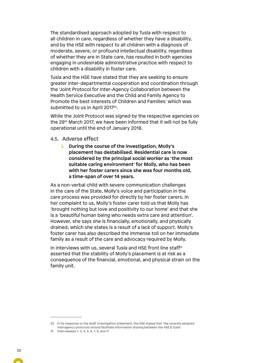The standardised approach adopted by Tusla with respect to all children in care, regardless of whether they have a disability, and by the HSE with respect to all children with a diagnosis of moderate, severe, or profound intellectual disability, regardless of whether they are in State care, has resulted in both agencies engaging in undesirable administrative practice with respect to children with a disability in foster care.

Tusla and the HSE have stated that they are seeking to ensure greater inter-departmental cooperation and coordination through the 'Joint Protocol for Inter-Agency Collaboration between the Health Service Executive and the Child and Family Agency to Promote the best interests of Children and Families' which was submitted to us in April 2017<sup>30</sup>.

While the Joint Protocol was signed by the respective agencies on the 29th March 2017, we have been informed that it will not be fully operational until the end of January 2018.

#### 4.5. Adverse effect

**i. During the course of the investigation, Molly's placement has destabilised. Residential care is now considered by the principal social worker as 'the most suitable caring environment' for Molly, who has been with her foster carers since she was four months old, a time-span of over 14 years.**

As a non-verbal child with severe communication challenges in the care of the State, Molly's voice and participation in the care process was provided for directly by her foster carers. In her complaint to us, Molly's foster carer told us that Molly has 'brought nothing but love and positivity to our home' and that she is a 'beautiful human being who needs extra care and attention'. However, she says she is financially, emotionally, and physically drained, which she states is a result of a lack of support. Molly's foster carer has also described the immense toll on her immediate family as a result of the care and advocacy required by Molly.

In interviews with us, several Tusla and HSE front line staff<sup>31</sup> asserted that the stability of Molly's placement is at risk as a consequence of the financial, emotional, and physical strain on the family unit.

<sup>30</sup> In its response to the draft investigation statement, the HSE stated that 'the recently adopted Interagency protocols should facilitate information sharing between the HSE & Tusla'.

<sup>31</sup> Interviewees 1, 2, 4, 5, 6, 7, 9, and 11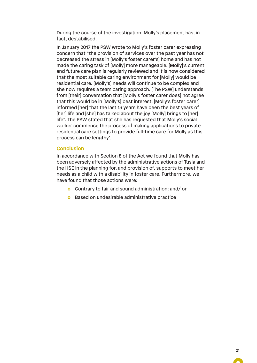During the course of the investigation, Molly's placement has, in fact, destabilised.

In January 2017 the PSW wrote to Molly's foster carer expressing concern that "the provision of services over the past year has not decreased the stress in [Molly's foster carer's] home and has not made the caring task of [Molly] more manageable. [Molly]'s current and future care plan is regularly reviewed and it is now considered that the most suitable caring environment for [Molly] would be residential care. [Molly's] needs will continue to be complex and she now requires a team caring approach. [The PSW] understands from [their] conversation that [Molly's foster carer does] not agree that this would be in [Molly's] best interest. [Molly's foster carer] informed [her] that the last 13 years have been the best years of [her] life and [she] has talked about the joy [Molly] brings to [her] life". The PSW stated that she has requested that Molly's social worker commence the process of making applications to private residential care settings to provide full-time care for Molly as this process can be lengthy'.

#### **Conclusion**

In accordance with Section 8 of the Act we found that Molly has been adversely affected by the administrative actions of Tusla and the HSE in the planning for, and provision of, supports to meet her needs as a child with a disability in foster care. Furthermore, we have found that those actions were:

- **o** Contrary to fair and sound administration; and/ or
- **o** Based on undesirable administrative practice

 $\blacksquare$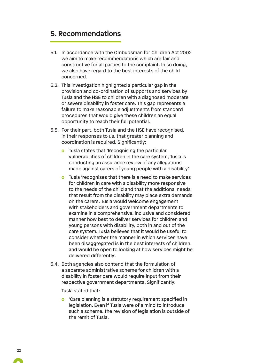## **5. Recommendations**

- 5.1. In accordance with the Ombudsman for Children Act 2002 we aim to make recommendations which are fair and constructive for all parties to the complaint. In so doing, we also have regard to the best interests of the child concerned.
- 5.2. This investigation highlighted a particular gap in the provision and co-ordination of supports and services by Tusla and the HSE to children with a diagnosed moderate or severe disability in foster care. This gap represents a failure to make reasonable adjustments from standard procedures that would give these children an equal opportunity to reach their full potential.
- 5.3. For their part, both Tusla and the HSE have recognised, in their responses to us, that greater planning and coordination is required. Significantly:
	- **o** Tusla states that 'Recognising the particular vulnerabilities of children in the care system, Tusla is conducting an assurance review of any allegations made against carers of young people with a disability'.
	- **o** Tusla 'recognises that there is a need to make services for children in care with a disability more responsive to the needs of the child and that the additional needs that result from the disability may place extra demands on the carers. Tusla would welcome engagement with stakeholders and government departments to examine in a comprehensive, inclusive and considered manner how best to deliver services for children and young persons with disability, both in and out of the care system. Tusla believes that it would be useful to consider whether the manner in which services have been disaggregated is in the best interests of children, and would be open to looking at how services might be delivered differently'.
- 5.4. Both agencies also contend that the formulation of a separate administrative scheme for children with a disability in foster care would require input from their respective government departments. Significantly:

Tusla stated that:

**o** 'Care planning is a statutory requirement specified in legislation. Even if Tusla were of a mind to introduce such a scheme, the revision of legislation is outside of the remit of Tusla'.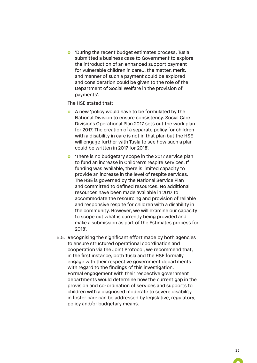**o** 'During the recent budget estimates process, Tusla submitted a business case to Government to explore the introduction of an enhanced support payment for vulnerable children in care… the matter, merit, and manner of such a payment could be explored and consideration could be given to the role of the Department of Social Welfare in the provision of payments'.

The HSE stated that:

- **o** A new 'policy would have to be formulated by the National Division to ensure consistency. Social Care Divisions Operational Plan 2017 sets out the work plan for 2017. The creation of a separate policy for children with a disability in care is not in that plan but the HSE will engage further with Tusla to see how such a plan could be written in 2017 for 2018'.
- **o** 'There is no budgetary scope in the 2017 service plan to fund an increase in Children's respite services. If funding was available, there is limited capacity to provide an increase in the level of respite services. The HSE is governed by the National Service Plan and committed to defined resources. No additional resources have been made available in 2017 to accommodate the resourcing and provision of reliable and responsive respite for children with a disability in the community. However, we will examine our capacity to scope out what is currently being provided and make a submission as part of the Estimates process for 2018'.
- 5.5. Recognising the significant effort made by both agencies to ensure structured operational coordination and cooperation via the Joint Protocol, we recommend that, in the first instance, both Tusla and the HSE formally engage with their respective government departments with regard to the findings of this investigation. Formal engagement with their respective government departments would determine how the current gap in the provision and co-ordination of services and supports to children with a diagnosed moderate to severe disability in foster care can be addressed by legislative, regulatory, policy and/or budgetary means.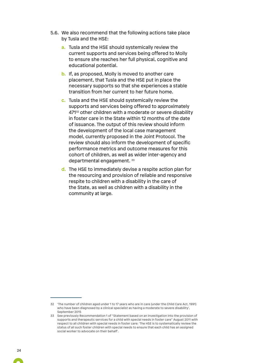- 5.6. We also recommend that the following actions take place by Tusla and the HSE:
	- **a.** Tusla and the HSE should systemically review the current supports and services being offered to Molly to ensure she reaches her full physical, cognitive and educational potential.
	- **b.** If, as proposed, Molly is moved to another care placement, that Tusla and the HSE put in place the necessary supports so that she experiences a stable transition from her current to her future home.
	- **c.** Tusla and the HSE should systemically review the supports and services being offered to approximately 47132 other children with a moderate or severe disability in foster care in the State within 12 months of the date of issuance. The output of this review should inform the development of the local case management model, currently proposed in the Joint Protocol. The review should also inform the development of specific performance metrics and outcome measures for this cohort of children, as well as wider inter-agency and departmental engagement. 33
	- **d.** The HSE to immediately devise a respite action plan for the resourcing and provision of reliable and responsive respite to children with a disability in the care of the State, as well as children with a disability in the community at large.

<sup>32</sup> 'The number of children aged under 1 to 17 years who are in care (under the Child Care Act, 1991) who have been diagnosed by a clinical specialist as having a moderate to severe disability', September 2015

<sup>33</sup> See previously Recommendation 1 of "Statement based on an investigation into the provision of supports and therapeutic services for a child with special needs in foster care" August 2011 with respect to all children with special needs in foster care: 'The HSE is to systematically review the status of all such foster children with special needs to ensure that each child has an assigned social worker to advocate on their behalf'.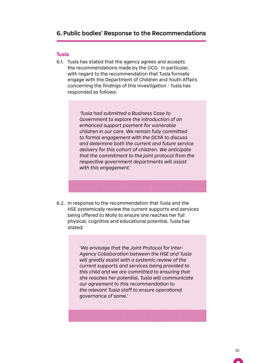### **6. Public bodies' Response to the Recommendations**

#### **Tusla**

6.1. Tusla has stated that the agency agrees and accepts the recommendations made by the OCO. In particular, with regard to the recommendation that Tusla formally engage with the Department of Children and Youth Affairs concerning the findings of this investigation - Tusla has responded as follows:

> *'Tusla had submitted a Business Case to Government to explore the introduction of an enhanced support payment for vulnerable children in our care. We remain fully committed to formal engagement with the DCYA to discuss and determine both the current and future service delivery for this cohort of children. We anticipate that the commitment to the joint protocol from the respective government departments will assist with this engagement.'*

6.2. In response to the recommendation that Tusla and the HSE systemically review the current supports and services being offered to Molly to ensure she reaches her full physical, cognitive and educational potential, Tusla has stated:

> *'We envisage that the Joint Protocol for Inter-Agency Collaboration between the HSE and Tusla will greatly assist with a systemic review of the current supports and services being provided to this child and we are committed to ensuring that she reaches her potential. Tusla will communicate our agreement to this recommendation to the relevant Tusla staff to ensure operational governance of same.'*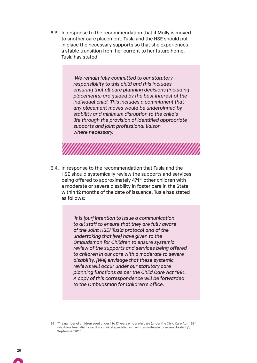6.3. In response to the recommendation that if Molly is moved to another care placement, Tusla and the HSE should put in place the necessary supports so that she experiences a stable transition from her current to her future home, Tusla has stated:

> *'We remain fully committed to our statutory responsibility to this child and this includes ensuring that all care planning decisions (including placements) are guided by the best interest of the individual child. This includes a commitment that any placement moves would be underpinned by stability and minimum disruption to the child's life through the provision of identified appropriate supports and joint professional liaison where necessary.'*

6.4. In response to the recommendation that Tusla and the HSE should systemically review the supports and services being offered to approximately 47134 other children with a moderate or severe disability in foster care in the State within 12 months of the date of issuance, Tusla has stated as follows:

> *'It is [our] intention to issue a communication to all staff to ensure that they are fully aware of the Joint HSE/ Tusla protocol and of the undertaking that [we] have given to the Ombudsman for Children to ensure systemic review of the supports and services being offered to children in our care with a moderate to severe disability. [We] envisage that these systemic reviews will occur under our statutory care planning functions as per the Child Care Act 1991. A copy of this correspondence will be forwarded to the Ombudsman for Children's office.*

<sup>34</sup> 'The number of children aged under 1 to 17 years who are in care (under the Child Care Act, 1991) who have been diagnosed by a clinical specialist as having a moderate to severe disability', September 2015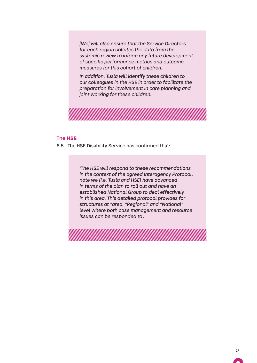*[We] will also ensure that the Service Directors for each region collates the data from the systemic review to inform any future development of specific performance metrics and outcome measures for this cohort of children.*

*In addition, Tusla will identify these children to our colleagues in the HSE in order to facilitate the preparation for involvement in care planning and joint working for these children.'*



6.5. The HSE Disability Service has confirmed that:

*'The HSE will respond to these recommendations in the context of the agreed Interagency Protocol, note we (i.e. Tusla and HSE) have advanced in terms of the plan to roll out and have an established National Group to deal effectively in this area. This detailed protocol provides for structures at "area, "Regional" and "National" level where both case management and resource issues can be responded to'.*

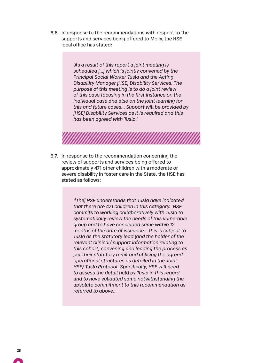6.6. In response to the recommendations with respect to the supports and services being offered to Molly, the HSE local office has stated:

> *'As a result of this report a joint meeting is scheduled […] which is jointly convened by the Principal Social Worker Tusla and the Acting Disability Manager [HSE] Disability Services. The purpose of this meeting is to do a joint review of this case focusing in the first instance on the individual case and also on the joint learning for this and future cases… Support will be provided by [HSE] Disability Services as it is required and this has been agreed with Tusla.'*

6.7. In response to the recommendation concerning the review of supports and services being offered to approximately 471 other children with a moderate or severe disability in foster care in the State, the HSE has stated as follows:

> *'[The] HSE understands that Tusla have indicated that there are 471 children in this category. HSE commits to working collaboratively with Tusla to systematically review the needs of this vulnerable group and to have concluded same within 12 months of the date of issuance… this is subject to Tusla as the statutory lead (and the holder of the relevant clinical/ support information relating to this cohort) convening and leading the process as per their statutory remit and utilising the agreed operational structures as detailed in the Joint HSE/ Tusla Protocol. Specifically, HSE will need to assess the detail held by Tusla in this regard and to have validated same notwithstanding the absolute commitment to this recommendation as referred to above…*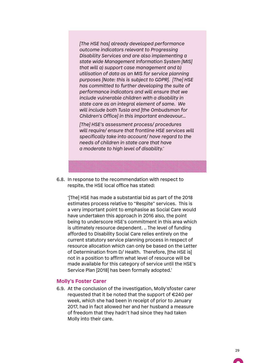*[The HSE has] already developed performance outcome indicators relevant to Progressing Disability Services and are also implementing a state wide Management Information System [MIS] that will a) support case management and b) utilisation of data as an MIS for service planning purposes [Note: this is subject to GDPR]. [The] HSE has committed to further developing the suite of performance indicators and will ensure that we include vulnerable children with a disability in state care as an integral element of same. We will include both Tusla and [the Ombudsman for Children's Office] in this important endeavour…*

*[The] HSE's assessment process/ procedures will require/ ensure that frontline HSE services will specifically take into account/ have regard to the needs of children in state care that have a moderate to high level of disability.'* 

6.8. In response to the recommendation with respect to respite, the HSE local office has stated:

'[The] HSE has made a substantial bid as part of the 2018 estimates process relative to "Respite" services. This is a very important point to emphasise as Social Care would have undertaken this approach in 2016 also, the point being to underscore HSE's commitment in this area which is ultimately resource dependent. .. The level of funding afforded to Disability Social Care relies entirely on the current statutory service planning process in respect of resource allocation which can only be based on the Letter of Determination from D/ Health. Therefore, [the HSE is] not in a position to affirm what level of resource will be made available for this category of service until the HSE's Service Plan [2018] has been formally adopted.'

#### **Molly's Foster Carer**

6.9. At the conclusion of the investigation, Molly'sfoster carer requested that it be noted that the support of €240 per week, which she had been in receipt of prior to January 2017, had in fact allowed her and her husband a measure of freedom that they hadn't had since they had taken Molly into their care.